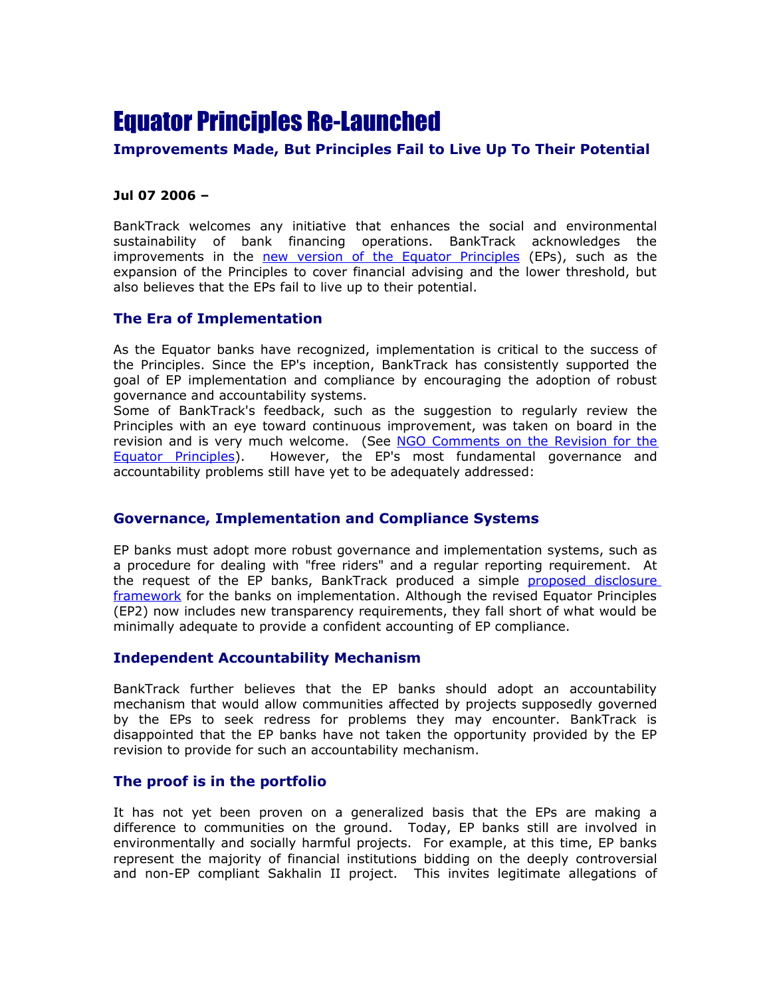# Equator Principles Re-Launched

### **Improvements Made, But Principles Fail to Live Up To Their Potential**

#### **Jul 07 2006 –**

BankTrack welcomes any initiative that enhances the social and environmental sustainability of bank financing operations. BankTrack acknowledges the improvements in the [new version of the Equator Principles](http://www.equator-principles.com/) (EPs), such as the expansion of the Principles to cover financial advising and the lower threshold, but also believes that the EPs fail to live up to their potential.

## **The Era of Implementation**

As the Equator banks have recognized, implementation is critical to the success of the Principles. Since the EP's inception, BankTrack has consistently supported the goal of EP implementation and compliance by encouraging the adoption of robust governance and accountability systems.

Some of BankTrack's feedback, such as the suggestion to regularly review the Principles with an eye toward continuous improvement, was taken on board in the revision and is very much welcome. (See [NGO Comments on the Revision for the](http://www.banktrack.org/download/equator_principles_ii_ngo_comments) [Equator Principles\)](http://www.banktrack.org/download/equator_principles_ii_ngo_comments). However, the EP's most fundamental governance and accountability problems still have yet to be adequately addressed:

#### **Governance, Implementation and Compliance Systems**

EP banks must adopt more robust governance and implementation systems, such as a procedure for dealing with "free riders" and a regular reporting requirement. At the request of the EP banks, BankTrack produced a simple [proposed disclosure](http://www.banktrack.org/doc/File/Our%20Publications/BankTrack%20publications/041128%20Transparency%20for%20the%20Equator%20banks.pdf) [framework](http://www.banktrack.org/doc/File/Our%20Publications/BankTrack%20publications/041128%20Transparency%20for%20the%20Equator%20banks.pdf) for the banks on implementation. Although the revised Equator Principles (EP2) now includes new transparency requirements, they fall short of what would be minimally adequate to provide a confident accounting of EP compliance.

#### **Independent Accountability Mechanism**

BankTrack further believes that the EP banks should adopt an accountability mechanism that would allow communities affected by projects supposedly governed by the EPs to seek redress for problems they may encounter. BankTrack is disappointed that the EP banks have not taken the opportunity provided by the EP revision to provide for such an accountability mechanism.

#### **The proof is in the portfolio**

It has not yet been proven on a generalized basis that the EPs are making a difference to communities on the ground. Today, EP banks still are involved in environmentally and socially harmful projects. For example, at this time, EP banks represent the majority of financial institutions bidding on the deeply controversial and non-EP compliant Sakhalin II project. This invites legitimate allegations of